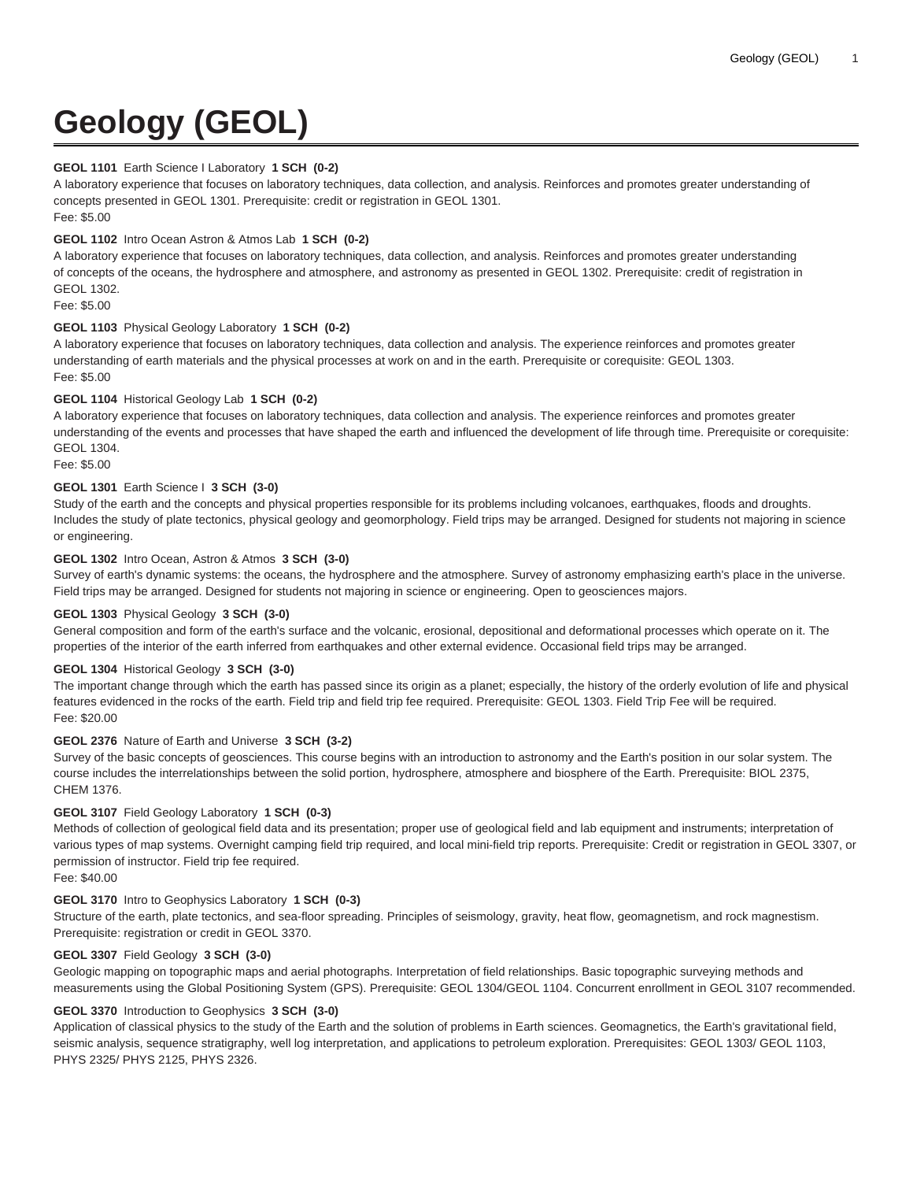# **Geology (GEOL)**

## **GEOL 1101** Earth Science I Laboratory **1 SCH (0-2)**

A laboratory experience that focuses on laboratory techniques, data collection, and analysis. Reinforces and promotes greater understanding of concepts presented in GEOL 1301. Prerequisite: credit or registration in GEOL 1301. Fee: \$5.00

## **GEOL 1102** Intro Ocean Astron & Atmos Lab **1 SCH (0-2)**

A laboratory experience that focuses on laboratory techniques, data collection, and analysis. Reinforces and promotes greater understanding of concepts of the oceans, the hydrosphere and atmosphere, and astronomy as presented in GEOL 1302. Prerequisite: credit of registration in GEOL 1302.

Fee: \$5.00

# **GEOL 1103** Physical Geology Laboratory **1 SCH (0-2)**

A laboratory experience that focuses on laboratory techniques, data collection and analysis. The experience reinforces and promotes greater understanding of earth materials and the physical processes at work on and in the earth. Prerequisite or corequisite: GEOL 1303. Fee: \$5.00

## **GEOL 1104** Historical Geology Lab **1 SCH (0-2)**

A laboratory experience that focuses on laboratory techniques, data collection and analysis. The experience reinforces and promotes greater understanding of the events and processes that have shaped the earth and influenced the development of life through time. Prerequisite or corequisite: GEOL 1304.

Fee: \$5.00

## **GEOL 1301** Earth Science I **3 SCH (3-0)**

Study of the earth and the concepts and physical properties responsible for its problems including volcanoes, earthquakes, floods and droughts. Includes the study of plate tectonics, physical geology and geomorphology. Field trips may be arranged. Designed for students not majoring in science or engineering.

## **GEOL 1302** Intro Ocean, Astron & Atmos **3 SCH (3-0)**

Survey of earth's dynamic systems: the oceans, the hydrosphere and the atmosphere. Survey of astronomy emphasizing earth's place in the universe. Field trips may be arranged. Designed for students not majoring in science or engineering. Open to geosciences majors.

## **GEOL 1303** Physical Geology **3 SCH (3-0)**

General composition and form of the earth's surface and the volcanic, erosional, depositional and deformational processes which operate on it. The properties of the interior of the earth inferred from earthquakes and other external evidence. Occasional field trips may be arranged.

#### **GEOL 1304** Historical Geology **3 SCH (3-0)**

The important change through which the earth has passed since its origin as a planet; especially, the history of the orderly evolution of life and physical features evidenced in the rocks of the earth. Field trip and field trip fee required. Prerequisite: GEOL 1303. Field Trip Fee will be required. Fee: \$20.00

#### **GEOL 2376** Nature of Earth and Universe **3 SCH (3-2)**

Survey of the basic concepts of geosciences. This course begins with an introduction to astronomy and the Earth's position in our solar system. The course includes the interrelationships between the solid portion, hydrosphere, atmosphere and biosphere of the Earth. Prerequisite: BIOL 2375, CHEM 1376.

#### **GEOL 3107** Field Geology Laboratory **1 SCH (0-3)**

Methods of collection of geological field data and its presentation; proper use of geological field and lab equipment and instruments; interpretation of various types of map systems. Overnight camping field trip required, and local mini-field trip reports. Prerequisite: Credit or registration in GEOL 3307, or permission of instructor. Field trip fee required.

Fee: \$40.00

## **GEOL 3170** Intro to Geophysics Laboratory **1 SCH (0-3)**

Structure of the earth, plate tectonics, and sea-floor spreading. Principles of seismology, gravity, heat flow, geomagnetism, and rock magnestism. Prerequisite: registration or credit in GEOL 3370.

#### **GEOL 3307** Field Geology **3 SCH (3-0)**

Geologic mapping on topographic maps and aerial photographs. Interpretation of field relationships. Basic topographic surveying methods and measurements using the Global Positioning System (GPS). Prerequisite: GEOL 1304/GEOL 1104. Concurrent enrollment in GEOL 3107 recommended.

#### **GEOL 3370** Introduction to Geophysics **3 SCH (3-0)**

Application of classical physics to the study of the Earth and the solution of problems in Earth sciences. Geomagnetics, the Earth's gravitational field, seismic analysis, sequence stratigraphy, well log interpretation, and applications to petroleum exploration. Prerequisites: GEOL 1303/ GEOL 1103, PHYS 2325/ PHYS 2125, PHYS 2326.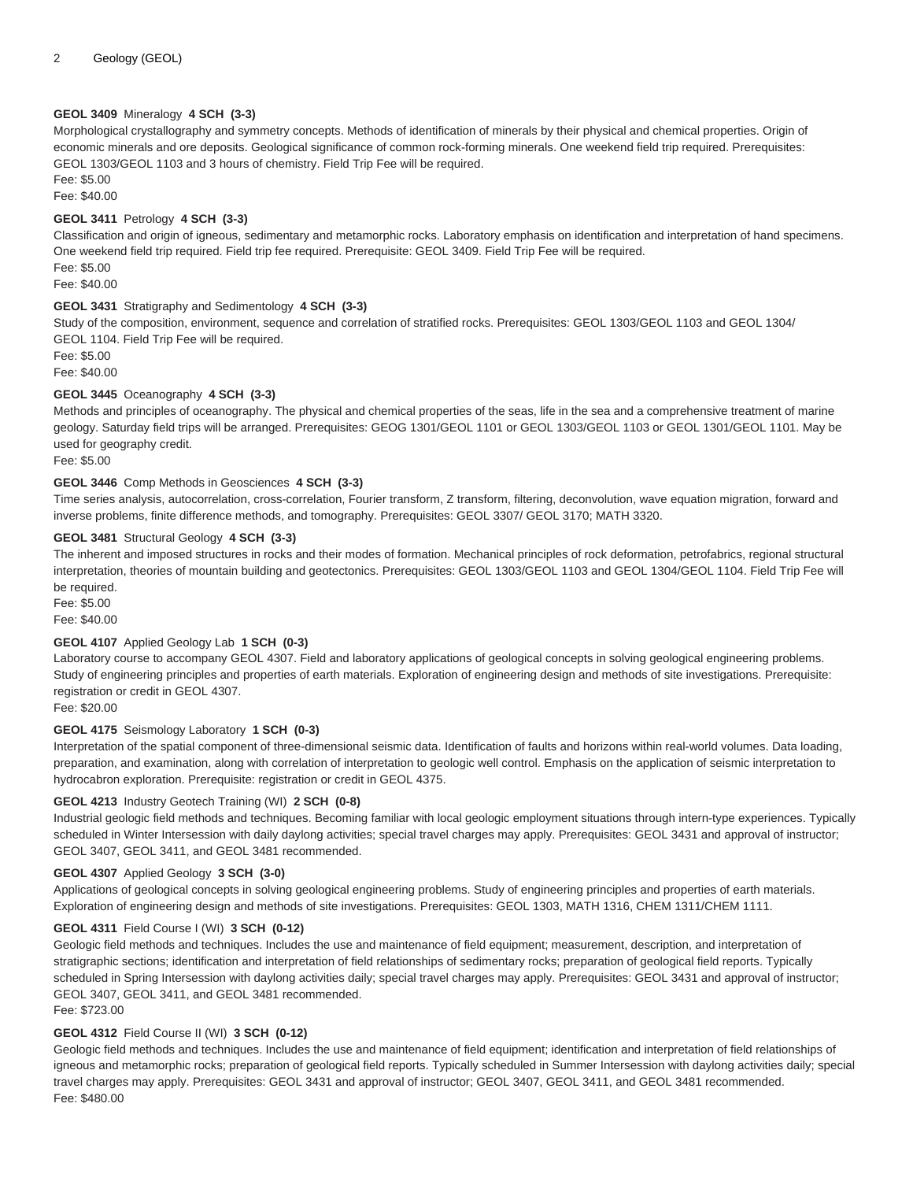## **GEOL 3409** Mineralogy **4 SCH (3-3)**

Morphological crystallography and symmetry concepts. Methods of identification of minerals by their physical and chemical properties. Origin of economic minerals and ore deposits. Geological significance of common rock-forming minerals. One weekend field trip required. Prerequisites: GEOL 1303/GEOL 1103 and 3 hours of chemistry. Field Trip Fee will be required.

Fee: \$5.00

Fee: \$40.00

## **GEOL 3411** Petrology **4 SCH (3-3)**

Classification and origin of igneous, sedimentary and metamorphic rocks. Laboratory emphasis on identification and interpretation of hand specimens. One weekend field trip required. Field trip fee required. Prerequisite: GEOL 3409. Field Trip Fee will be required. Fee: \$5.00

Fee: \$40.00

## **GEOL 3431** Stratigraphy and Sedimentology **4 SCH (3-3)**

Study of the composition, environment, sequence and correlation of stratified rocks. Prerequisites: GEOL 1303/GEOL 1103 and GEOL 1304/ GEOL 1104. Field Trip Fee will be required.

Fee: \$5.00 Fee: \$40.00

## **GEOL 3445** Oceanography **4 SCH (3-3)**

Methods and principles of oceanography. The physical and chemical properties of the seas, life in the sea and a comprehensive treatment of marine geology. Saturday field trips will be arranged. Prerequisites: GEOG 1301/GEOL 1101 or GEOL 1303/GEOL 1103 or GEOL 1301/GEOL 1101. May be used for geography credit.

Fee: \$5.00

#### **GEOL 3446** Comp Methods in Geosciences **4 SCH (3-3)**

Time series analysis, autocorrelation, cross-correlation, Fourier transform, Z transform, filtering, deconvolution, wave equation migration, forward and inverse problems, finite difference methods, and tomography. Prerequisites: GEOL 3307/ GEOL 3170; MATH 3320.

## **GEOL 3481** Structural Geology **4 SCH (3-3)**

The inherent and imposed structures in rocks and their modes of formation. Mechanical principles of rock deformation, petrofabrics, regional structural interpretation, theories of mountain building and geotectonics. Prerequisites: GEOL 1303/GEOL 1103 and GEOL 1304/GEOL 1104. Field Trip Fee will be required.

Fee: \$5.00 Fee: \$40.00

#### **GEOL 4107** Applied Geology Lab **1 SCH (0-3)**

Laboratory course to accompany GEOL 4307. Field and laboratory applications of geological concepts in solving geological engineering problems. Study of engineering principles and properties of earth materials. Exploration of engineering design and methods of site investigations. Prerequisite: registration or credit in GEOL 4307.

Fee: \$20.00

#### **GEOL 4175** Seismology Laboratory **1 SCH (0-3)**

Interpretation of the spatial component of three-dimensional seismic data. Identification of faults and horizons within real-world volumes. Data loading, preparation, and examination, along with correlation of interpretation to geologic well control. Emphasis on the application of seismic interpretation to hydrocabron exploration. Prerequisite: registration or credit in GEOL 4375.

#### **GEOL 4213** Industry Geotech Training (WI) **2 SCH (0-8)**

Industrial geologic field methods and techniques. Becoming familiar with local geologic employment situations through intern-type experiences. Typically scheduled in Winter Intersession with daily daylong activities; special travel charges may apply. Prerequisites: GEOL 3431 and approval of instructor; GEOL 3407, GEOL 3411, and GEOL 3481 recommended.

#### **GEOL 4307** Applied Geology **3 SCH (3-0)**

Applications of geological concepts in solving geological engineering problems. Study of engineering principles and properties of earth materials. Exploration of engineering design and methods of site investigations. Prerequisites: GEOL 1303, MATH 1316, CHEM 1311/CHEM 1111.

#### **GEOL 4311** Field Course I (WI) **3 SCH (0-12)**

Geologic field methods and techniques. Includes the use and maintenance of field equipment; measurement, description, and interpretation of stratigraphic sections; identification and interpretation of field relationships of sedimentary rocks; preparation of geological field reports. Typically scheduled in Spring Intersession with daylong activities daily; special travel charges may apply. Prerequisites: GEOL 3431 and approval of instructor; GEOL 3407, GEOL 3411, and GEOL 3481 recommended.

Fee: \$723.00

# **GEOL 4312** Field Course II (WI) **3 SCH (0-12)**

Geologic field methods and techniques. Includes the use and maintenance of field equipment; identification and interpretation of field relationships of igneous and metamorphic rocks; preparation of geological field reports. Typically scheduled in Summer Intersession with daylong activities daily; special travel charges may apply. Prerequisites: GEOL 3431 and approval of instructor; GEOL 3407, GEOL 3411, and GEOL 3481 recommended. Fee: \$480.00